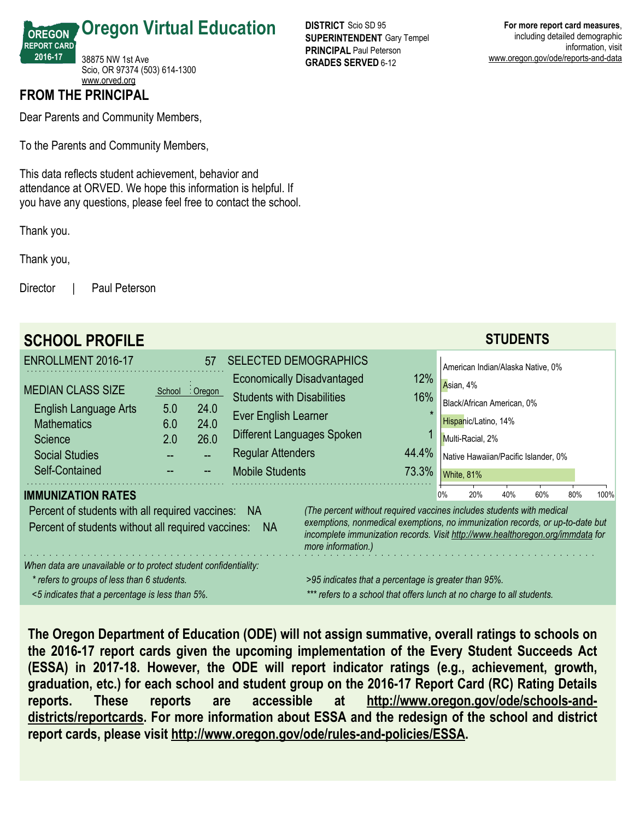38875 NW 1st Ave Scio, OR 97374 (503) 614-1300

**Oregon Virtual Education**

<www.orved.org> **FROM THE PRINCIPAL**

Dear Parents and Community Members,

To the Parents and Community Members,

This data reflects student achievement, behavior and attendance at ORVED. We hope this information is helpful. If you have any questions, please feel free to contact the school.

Thank you.

**OREGON REPORT CARD 2016-17**

Thank you,

Director | Paul Peterson

| <b>SCHOOL PROFILE</b>                                            |                                                                                                                                                                                       |          |                                                                               |                                                                       |     |                                      |                                   | <b>STUDENTS</b> |     |     |      |
|------------------------------------------------------------------|---------------------------------------------------------------------------------------------------------------------------------------------------------------------------------------|----------|-------------------------------------------------------------------------------|-----------------------------------------------------------------------|-----|--------------------------------------|-----------------------------------|-----------------|-----|-----|------|
| <b>ENROLLMENT 2016-17</b>                                        |                                                                                                                                                                                       | 57       | <b>SELECTED DEMOGRAPHICS</b>                                                  |                                                                       |     |                                      | American Indian/Alaska Native, 0% |                 |     |     |      |
| <b>MEDIAN CLASS SIZE</b>                                         | School                                                                                                                                                                                | : Oregon | 12%<br><b>Economically Disadvantaged</b><br><b>Students with Disabilities</b> |                                                                       |     |                                      | Asian, 4%                         |                 |     |     |      |
| English Language Arts                                            | 5.0                                                                                                                                                                                   | 24.0     |                                                                               |                                                                       | 16% | Black/African American, 0%           |                                   |                 |     |     |      |
| <b>Mathematics</b>                                               | 6.0                                                                                                                                                                                   | 24.0     | Ever English Learner                                                          |                                                                       |     | Hispanic/Latino, 14%                 |                                   |                 |     |     |      |
| Science                                                          | 2.0                                                                                                                                                                                   | 26.0     | Different Languages Spoken                                                    |                                                                       |     |                                      | Multi-Racial, 2%                  |                 |     |     |      |
| <b>Social Studies</b>                                            |                                                                                                                                                                                       |          | 44.4%<br><b>Regular Attenders</b>                                             |                                                                       |     | Native Hawaiian/Pacific Islander, 0% |                                   |                 |     |     |      |
| Self-Contained                                                   |                                                                                                                                                                                       |          | 73.3%<br><b>Mobile Students</b>                                               |                                                                       |     |                                      | White, 81%                        |                 |     |     |      |
| <b>IMMUNIZATION RATES</b>                                        |                                                                                                                                                                                       |          |                                                                               |                                                                       |     | 0%                                   | 20%                               | 40%             | 60% | 80% | 100% |
| Percent of students with all required vaccines:                  |                                                                                                                                                                                       |          | -NA                                                                           | (The percent without required vaccines includes students with medical |     |                                      |                                   |                 |     |     |      |
| Percent of students without all required vaccines:               | exemptions, nonmedical exemptions, no immunization records, or up-to-date but<br>incomplete immunization records. Visit http://www.healthoregon.org/immdata for<br>more information.) |          |                                                                               |                                                                       |     |                                      |                                   |                 |     |     |      |
| When data are unavailable or to protect student confidentiality: |                                                                                                                                                                                       |          |                                                                               |                                                                       |     |                                      |                                   |                 |     |     |      |
| * refers to groups of less than 6 students.                      | >95 indicates that a percentage is greater than 95%.                                                                                                                                  |          |                                                                               |                                                                       |     |                                      |                                   |                 |     |     |      |
| <5 indicates that a percentage is less than 5%.                  | *** refers to a school that offers lunch at no charge to all students.                                                                                                                |          |                                                                               |                                                                       |     |                                      |                                   |                 |     |     |      |

**DISTRICT** Scio SD 95 **SUPERINTENDENT** Gary Tempel **PRINCIPAL** Paul Peterson **GRADES SERVED** 6-12 **For more report card measures**, including detailed demographic information, visit www.oregon.gov/ode/reports-and-data

**The Oregon Department of Education (ODE) will not assign summative, overall ratings to schools on the 2016-17 report cards given the upcoming implementation of the Every Student Succeeds Act (ESSA) in 2017-18. However, the ODE will report indicator ratings (e.g., achievement, growth, graduation, etc.) for each school and student group on the 2016-17 Report Card (RC) Rating Details reports. These reports are accessible at http://www.oregon.gov/ode/schools-anddistricts/reportcards. For more information about ESSA and the redesign of the school and district report cards, please visit http://www.oregon.gov/ode/rules-and-policies/ESSA.**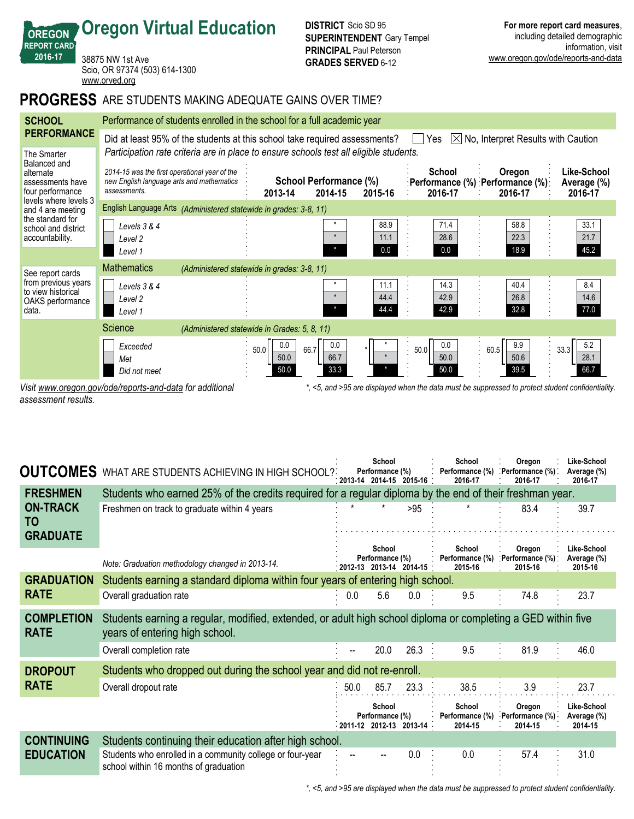## **REPORT CARD Oregon Virtual Education** 38875 NW 1st Ave

Scio, OR 97374 (503) 614-1300 <www.orved.org>

## **PROGRESS** ARE STUDENTS MAKING ADEQUATE GAINS OVER TIME?

| <b>SCHOOL</b>                                                                              | Performance of students enrolled in the school for a full academic year                                                            |                                              |                                   |                      |                             |                                                                                                   |                                       |  |  |  |  |  |
|--------------------------------------------------------------------------------------------|------------------------------------------------------------------------------------------------------------------------------------|----------------------------------------------|-----------------------------------|----------------------|-----------------------------|---------------------------------------------------------------------------------------------------|---------------------------------------|--|--|--|--|--|
| <b>PERFORMANCE</b>                                                                         | Did at least 95% of the students at this school take required assessments?<br>$ \times $ No, Interpret Results with Caution<br>Yes |                                              |                                   |                      |                             |                                                                                                   |                                       |  |  |  |  |  |
| The Smarter<br>Balanced and<br>alternate<br>assessments have<br>four performance           | Participation rate criteria are in place to ensure schools test all eligible students.                                             |                                              |                                   |                      |                             |                                                                                                   |                                       |  |  |  |  |  |
|                                                                                            | 2014-15 was the first operational year of the<br>new English language arts and mathematics<br>assessments.                         | 2013-14                                      | School Performance (%)<br>2014-15 | 2015-16              | <b>School</b><br>2016-17    | Oregon<br>:Performance (%) :Performance (%):<br>2016-17                                           | Like-School<br>Average (%)<br>2016-17 |  |  |  |  |  |
| levels where levels 3<br>and 4 are meeting                                                 | English Language Arts (Administered statewide in grades: 3-8, 11)                                                                  |                                              |                                   |                      |                             |                                                                                                   |                                       |  |  |  |  |  |
| the standard for<br>school and district<br>accountability.                                 | Levels 3 & 4<br>Level 2<br>Level 1                                                                                                 |                                              |                                   | 88.9<br>11.1<br>0.0  | 71.4<br>28.6<br>0.0         | 58.8<br>22.3<br>18.9                                                                              | 33.1<br>21.7<br>45.2                  |  |  |  |  |  |
|                                                                                            | <b>Mathematics</b>                                                                                                                 | (Administered statewide in grades: 3-8, 11)  |                                   |                      |                             |                                                                                                   |                                       |  |  |  |  |  |
| See report cards<br>from previous years<br>to view historical<br>OAKS performance<br>data. | Levels 3 & 4<br>Level 2<br>Level 1                                                                                                 |                                              | $\star$<br>$\star$                | 11.1<br>44.4<br>44.4 | 14.3<br>42.9<br>42.9        | 40.4<br>26.8<br>32.8                                                                              | 8.4<br>14.6<br>77.0                   |  |  |  |  |  |
|                                                                                            | Science                                                                                                                            | (Administered statewide in Grades: 5, 8, 11) |                                   |                      |                             |                                                                                                   |                                       |  |  |  |  |  |
|                                                                                            | Exceeded<br>Met<br>Did not meet                                                                                                    | 0.0<br>50.0<br>50.0<br>50.0                  | 0.0<br>66.7<br>66.7<br>33.3       |                      | 0.0<br>50.0<br>50.0<br>50.0 | 9.9<br>60.5<br>50.6<br>39.5                                                                       | 5.2<br>33.3<br>28.1<br>66.7           |  |  |  |  |  |
|                                                                                            | Visit www.oregon.gov/ode/reports-and-data for additional                                                                           |                                              |                                   |                      |                             | *, <5, and >95 are displayed when the data must be suppressed to protect student confidentiality. |                                       |  |  |  |  |  |

*assessment results.*

**OREGON**

**2016-17**

| <b>OUTCOMES</b>                  | WHAT ARE STUDENTS ACHIEVING IN HIGH SCHOOL?                                                                                                    |      | School<br>Performance (%)<br>:2013-14 2014-15 2015-16 : |      | School<br>Performance (%)<br>2016-17 | Oregon<br>. Performance (%).<br>2016-17 | Like-School<br>Average (%)<br>2016-17 |  |  |  |  |  |
|----------------------------------|------------------------------------------------------------------------------------------------------------------------------------------------|------|---------------------------------------------------------|------|--------------------------------------|-----------------------------------------|---------------------------------------|--|--|--|--|--|
| <b>FRESHMEN</b>                  | Students who earned 25% of the credits required for a regular diploma by the end of their freshman year.                                       |      |                                                         |      |                                      |                                         |                                       |  |  |  |  |  |
| <b>ON-TRACK</b><br>TO            | Freshmen on track to graduate within 4 years                                                                                                   |      |                                                         | >95  |                                      | 83.4                                    | 39.7                                  |  |  |  |  |  |
| <b>GRADUATE</b>                  |                                                                                                                                                |      | School                                                  |      | School                               | Oregon                                  | Like-School                           |  |  |  |  |  |
|                                  | Note: Graduation methodology changed in 2013-14.                                                                                               |      | Performance (%)<br>2012-13 2013-14 2014-15              |      | Performance (%)<br>2015-16           | Performance (%)<br>2015-16              | Average (%)<br>2015-16                |  |  |  |  |  |
| <b>GRADUATION</b>                | Students earning a standard diploma within four years of entering high school.                                                                 |      |                                                         |      |                                      |                                         |                                       |  |  |  |  |  |
| <b>RATE</b>                      | Overall graduation rate                                                                                                                        | 0.0  | 5.6                                                     | 0.0  | 9.5                                  | 74.8                                    | 23.7                                  |  |  |  |  |  |
| <b>COMPLETION</b><br><b>RATE</b> | Students earning a regular, modified, extended, or adult high school diploma or completing a GED within five<br>years of entering high school. |      |                                                         |      |                                      |                                         |                                       |  |  |  |  |  |
|                                  | Overall completion rate                                                                                                                        |      | 20.0                                                    | 26.3 | 9.5                                  | 81.9                                    | 46.0                                  |  |  |  |  |  |
| <b>DROPOUT</b>                   | Students who dropped out during the school year and did not re-enroll.                                                                         |      |                                                         |      |                                      |                                         |                                       |  |  |  |  |  |
| <b>RATE</b>                      | Overall dropout rate                                                                                                                           | 50.0 | 85.7                                                    | 23.3 | 38.5                                 | 3.9                                     | 23.7                                  |  |  |  |  |  |
|                                  |                                                                                                                                                |      | School<br>Performance (%)<br>2011-12 2012-13 2013-14    |      | School<br>Performance (%)<br>2014-15 | Oregon<br>Performance (%)<br>2014-15    | Like-School<br>Average (%)<br>2014-15 |  |  |  |  |  |
| <b>CONTINUING</b>                | Students continuing their education after high school.                                                                                         |      |                                                         |      |                                      |                                         |                                       |  |  |  |  |  |
| <b>EDUCATION</b>                 | Students who enrolled in a community college or four-year<br>school within 16 months of graduation                                             |      |                                                         | 0.0  | 0.0                                  | 57.4                                    | 31.0                                  |  |  |  |  |  |

*\*, <5, and >95 are displayed when the data must be suppressed to protect student confidentiality.*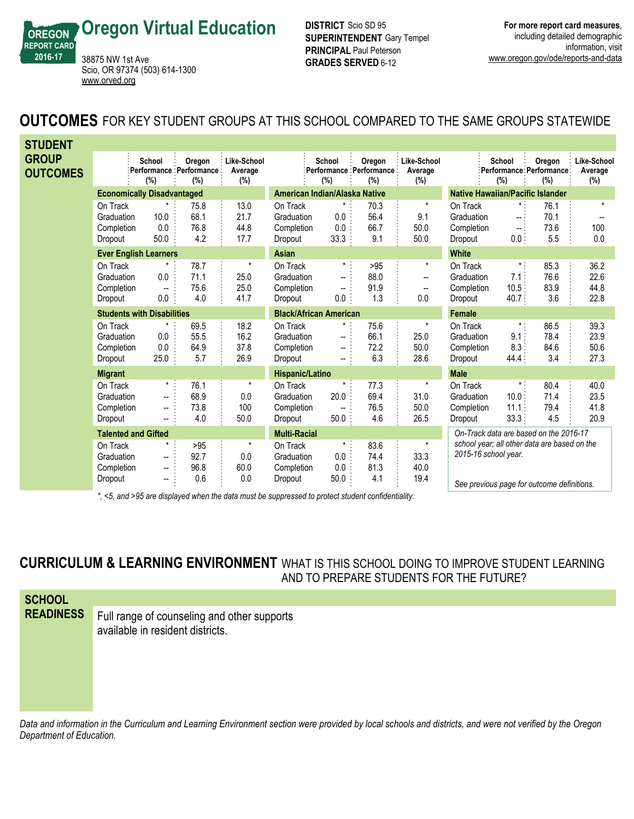**Oregon Virtual Education**

**OREGON REPORT CARD 2016-17**

38875 NW 1st Ave

<www.orved.org>

Scio, OR 97374 (503) 614-1300

**DISTRICT** Scio SD 95 **SUPERINTENDENT** Gary Tempel **PRINCIPAL** Paul Peterson **GRADES SERVED** 6-12

## **OUTCOMES** FOR KEY STUDENT GROUPS AT THIS SCHOOL COMPARED TO THE SAME GROUPS STATEWIDE

| <b>STUDENT</b>                  |                                   |               |                                            |                               |                               |                          |                                          |                               |                                         |                |                                              |                               |
|---------------------------------|-----------------------------------|---------------|--------------------------------------------|-------------------------------|-------------------------------|--------------------------|------------------------------------------|-------------------------------|-----------------------------------------|----------------|----------------------------------------------|-------------------------------|
| <b>GROUP</b><br><b>OUTCOMES</b> |                                   | School<br>(%) | Oregon<br>Performance Performance :<br>(%) | Like-School<br>Average<br>(%) |                               | School<br>(%)            | Oregon<br>Performance Performance<br>(%) | Like-School<br>Average<br>(%) |                                         | School<br>(%)  | Oregon<br>:Performance Performance:<br>(%)   | Like-School<br>Average<br>(%) |
|                                 | <b>Economically Disadvantaged</b> |               |                                            |                               | American Indian/Alaska Native |                          |                                          |                               | <b>Native Hawaiian/Pacific Islander</b> |                |                                              |                               |
|                                 | On Track                          |               | 75.8                                       | 13.0                          | On Track                      | $^\star$                 | 70.3                                     | $\star$                       | On Track                                | $\star$ .      | 76.1                                         | $\star$                       |
|                                 | Graduation                        | 10.0          | 68.1                                       | 21.7                          | Graduation                    | 0.0                      | 56.4                                     | 9.1                           | Graduation                              | i              | 70.1                                         |                               |
|                                 | Completion                        | 0.0           | 76.8                                       | 44.8                          | Completion                    | 0.0                      | 66.7                                     | 50.0                          | Completion                              | $\sim$ .       | 73.6                                         | 100                           |
|                                 | Dropout                           | 50.0          | 4.2                                        | 17.7                          | Dropout                       | 33.3:                    | 9.1                                      | 50.0                          | Dropout                                 | 0.0:           | 5.5                                          | 0.0                           |
|                                 | <b>Ever English Learners</b>      |               |                                            |                               | <b>Asian</b>                  |                          |                                          |                               | <b>White</b>                            |                |                                              |                               |
|                                 | On Track                          |               | 78.7                                       | $\star$                       | On Track                      | $\star$ :                | >95                                      | $^\star$                      | On Track                                | $\pmb{\ast}$ . | 85.3                                         | 36.2                          |
|                                 | Graduation                        | 0.0           | 71.1                                       | 25.0                          | Graduation                    | $\overline{a}$           | 88.0                                     | $\overline{a}$                | Graduation                              | 7.1:           | 76.6                                         | 22.6                          |
|                                 | Completion                        | $\mathbf{u}$  | 75.6                                       | 25.0                          | Completion                    | $-$                      | 91.9                                     | --                            | Completion                              | 10.5           | 83.9                                         | 44.8                          |
|                                 | Dropout                           | 0.0           | 4.0                                        | 41.7                          | Dropout                       | $0.0$ :                  | 1.3                                      | 0.0                           | Dropout                                 | 40.7:          | 3.6                                          | 22.8                          |
|                                 | <b>Students with Disabilities</b> |               |                                            | <b>Black/African American</b> |                               |                          |                                          | <b>Female</b>                 |                                         |                |                                              |                               |
|                                 | On Track                          | *             | 69.5                                       | 18.2                          | On Track                      | $\pmb{\star}$ .          | 75.6                                     | $^\star$                      | On Track                                | $^\star$ :     | 86.5                                         | 39.3                          |
|                                 | Graduation                        | 0.0           | 55.5                                       | 16.2                          | Graduation                    | -- :                     | 66.1                                     | 25.0                          | Graduation                              | 9.1:           | 78.4                                         | 23.9                          |
|                                 | Completion                        | 0.0           | 64.9                                       | 37.8                          | Completion                    | --                       | 72.2                                     | 50.0                          | Completion                              | 8.3            | 84.6                                         | 50.6                          |
|                                 | Dropout                           | 25.0          | 5.7                                        | 26.9                          | Dropout                       | $-1$                     | 6.3                                      | 28.6                          | Dropout                                 | 44.4:          | 3.4                                          | 27.3                          |
|                                 | <b>Migrant</b>                    |               |                                            |                               | Hispanic/Latino               |                          |                                          |                               | <b>Male</b>                             |                |                                              |                               |
|                                 | On Track                          | $\star$       | 76.1                                       | $\star$                       | On Track                      | $\star$ :                | 77.3                                     | $\star$                       | On Track                                | $\star$ .      | 80.4                                         | 40.0                          |
|                                 | Graduation                        | --            | 68.9                                       | 0.0                           | Graduation                    | 20.0                     | 69.4                                     | 31.0                          | Graduation                              | 10.0:          | 71.4                                         | 23.5                          |
|                                 | Completion                        | $- -$         | 73.8                                       | 100                           | Completion                    | $\overline{\phantom{a}}$ | 76.5                                     | 50.0                          | Completion                              | 11.1:          | 79.4                                         | 41.8                          |
|                                 | Dropout                           |               | 4.0                                        | 50.0                          | Dropout                       | 50.0                     | 4.6                                      | 26.5                          | Dropout                                 | 33.3:          | 4.5                                          | 20.9                          |
|                                 | <b>Talented and Gifted</b>        |               |                                            |                               | <b>Multi-Racial</b>           |                          |                                          |                               | On-Track data are based on the 2016-17  |                |                                              |                               |
|                                 | On Track                          | $^{\star}$    | >95                                        | $\star$                       | On Track                      | $\star$ :                | 83.6                                     | $\star$                       |                                         |                | school year; all other data are based on the |                               |
|                                 | Graduation                        | −−            | 92.7                                       | 0.0                           | Graduation                    | 0.0                      | 74.4                                     | 33.3                          | 2015-16 school year.                    |                |                                              |                               |
|                                 | Completion                        | --            | 96.8                                       | 60.0                          | Completion                    | 0.0                      | 81.3                                     | 40.0                          |                                         |                |                                              |                               |
|                                 | Dropout                           | −−            | 0.6                                        | 0.0                           | Dropout                       | 50.0                     | 4.1                                      | 19.4                          |                                         |                | See previous page for outcome definitions.   |                               |

*\*, <5, and >95 are displayed when the data must be suppressed to protect student confidentiality.*

## **CURRICULUM & LEARNING ENVIRONMENT** WHAT IS THIS SCHOOL DOING TO IMPROVE STUDENT LEARNING AND TO PREPARE STUDENTS FOR THE FUTURE?

**SCHOOL READINESS** Full range of counseling and other supports available in resident districts.

*Data and information in the Curriculum and Learning Environment section were provided by local schools and districts, and were not verified by the Oregon Department of Education.*